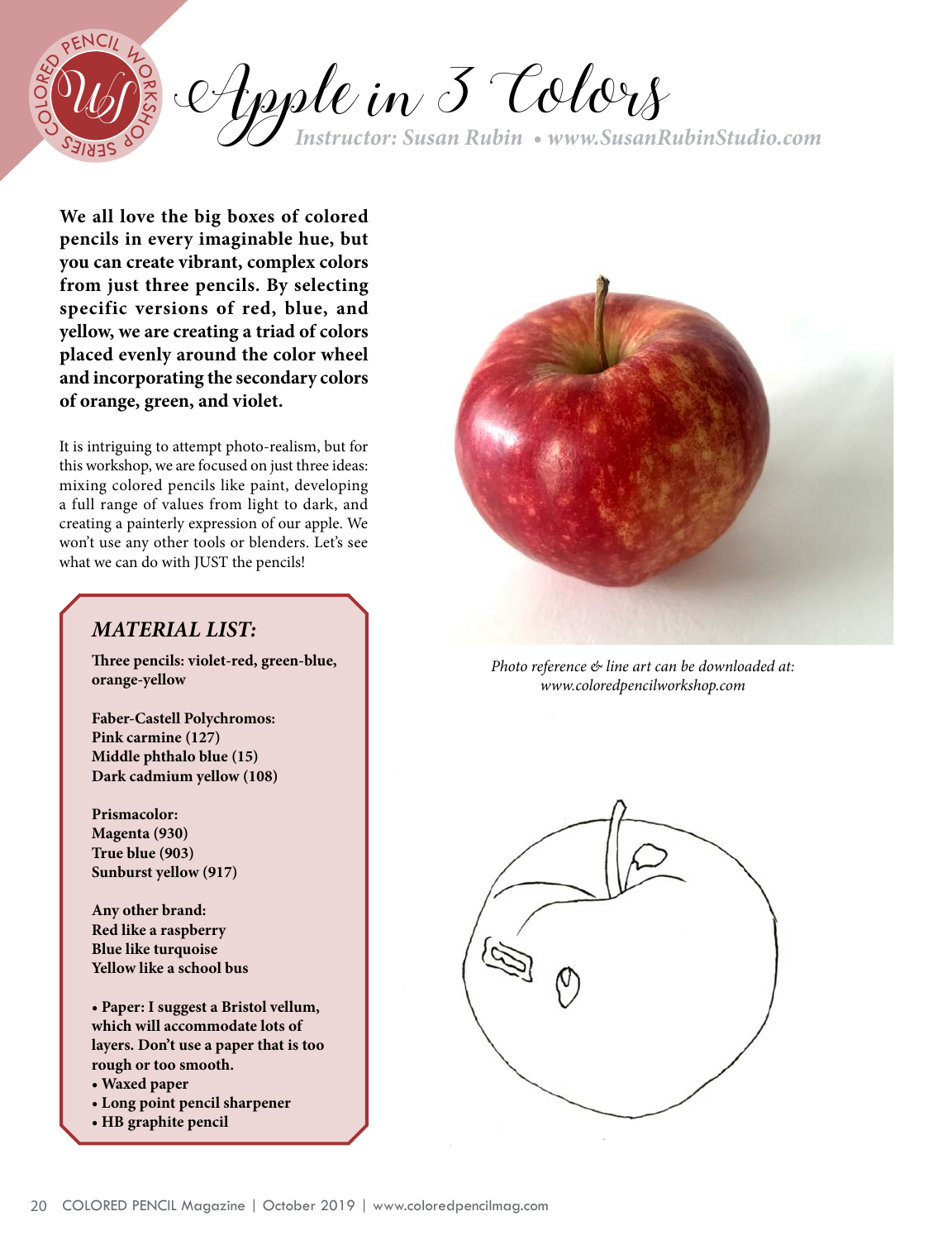

Apple in 3 Colors *Instructor: Susan Rubin • [www.](http://www.patreon.com/AmieHowardArt)SusanRubinStudio.com* <sup>C</sup><sup>O</sup>

**We all love the big boxes of colored pencils in every imaginable hue, but you can create vibrant, complex colors from just three pencils. By selecting specific versions of red, blue, and yellow, we are creating a triad of colors placed evenly around the color wheel and incorporating the secondary colors of orange, green, and violet.**

It is intriguing to attempt photo-realism, but for this workshop, we are focused on just three ideas: mixing colored pencils like paint, developing a full range of values from light to dark, and creating a painterly expression of our apple. We won't use any other tools or blenders. Let's see what we can do with JUST the pencils!

# *MATERIAL LIST:*

**Three pencils: violet-red, green-blue, orange-yellow**

**Faber-Castell Polychromos: Pink carmine (127) Middle phthalo blue (15) Dark cadmium yellow (108)** 

**Prismacolor: Magenta (930) True blue (903) Sunburst yellow (917)**

**Any other brand: Red like a raspberry Blue like turquoise Yellow like a school bus**

**• Paper: I suggest a Bristol vellum, which will accommodate lots of layers. Don't use a paper that is too rough or too smooth.** 

- **Waxed paper**
- **Long point pencil sharpener**
- **HB graphite pencil**



*Photo reference & line art can be downloaded at: [www.coloredpencilworkshop.com](http://www.coloredpencilworkshop.com)*

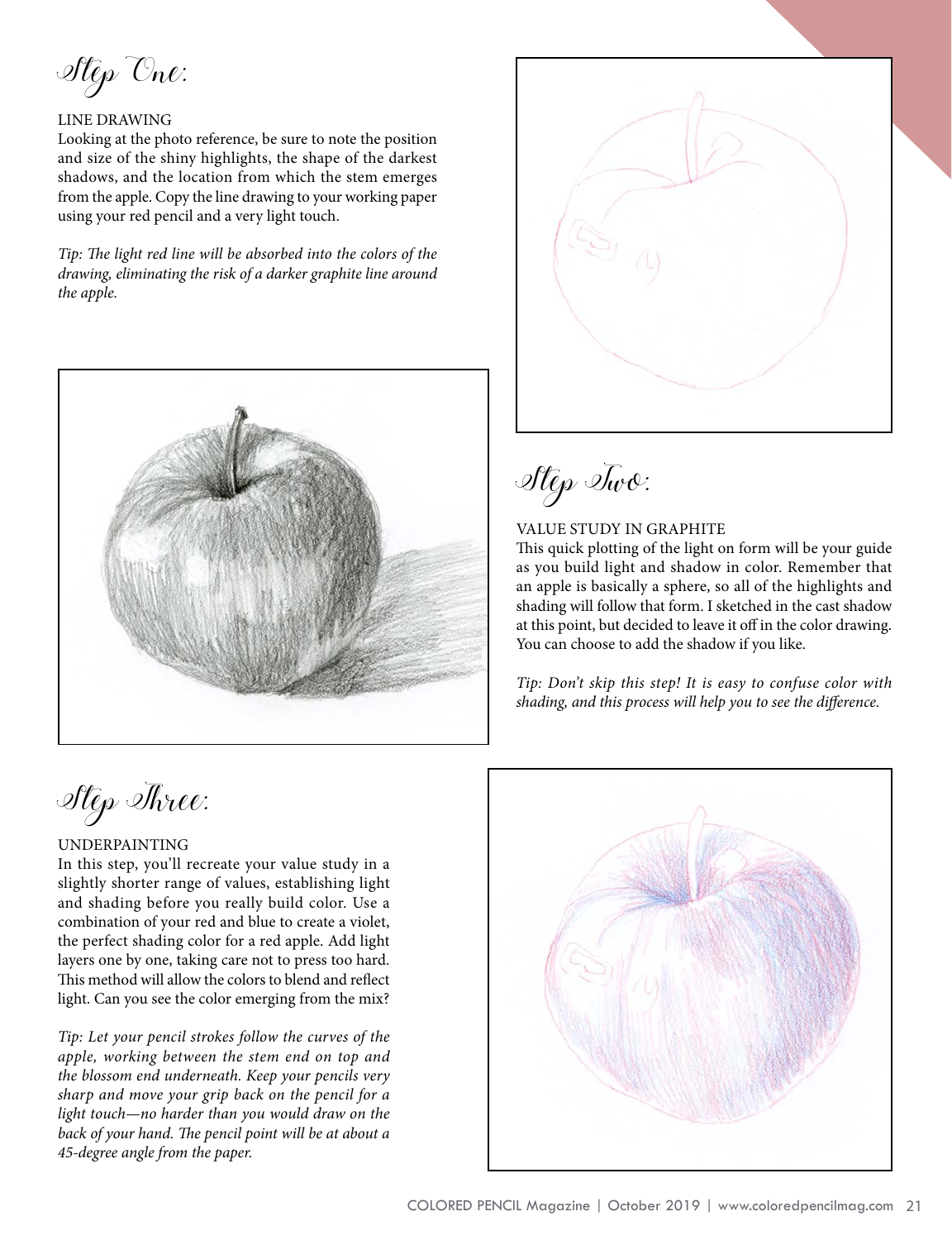Step One:

#### LINE DRAWING

Looking at the photo reference, be sure to note the position and size of the shiny highlights, the shape of the darkest shadows, and the location from which the stem emerges from the apple. Copy the line drawing to your working paper using your red pencil and a very light touch.

*Tip: The light red line will be absorbed into the colors of the drawing, eliminating the risk of a darker graphite line around the apple.*



Step Two:

## VALUE STUDY IN GRAPHITE

This quick plotting of the light on form will be your guide as you build light and shadow in color. Remember that an apple is basically a sphere, so all of the highlights and shading will follow that form. I sketched in the cast shadow at this point, but decided to leave it off in the color drawing. You can choose to add the shadow if you like.

*Tip: Don't skip this step! It is easy to confuse color with shading, and this process will help you to see the difference.*

Step Three:

## UNDERPAINTING

In this step, you'll recreate your value study in a slightly shorter range of values, establishing light and shading before you really build color. Use a combination of your red and blue to create a violet, the perfect shading color for a red apple. Add light layers one by one, taking care not to press too hard. This method will allow the colors to blend and reflect light. Can you see the color emerging from the mix?

*Tip: Let your pencil strokes follow the curves of the apple, working between the stem end on top and the blossom end underneath. Keep your pencils very sharp and move your grip back on the pencil for a light touch—no harder than you would draw on the back of your hand. The pencil point will be at about a 45-degree angle from the paper.*

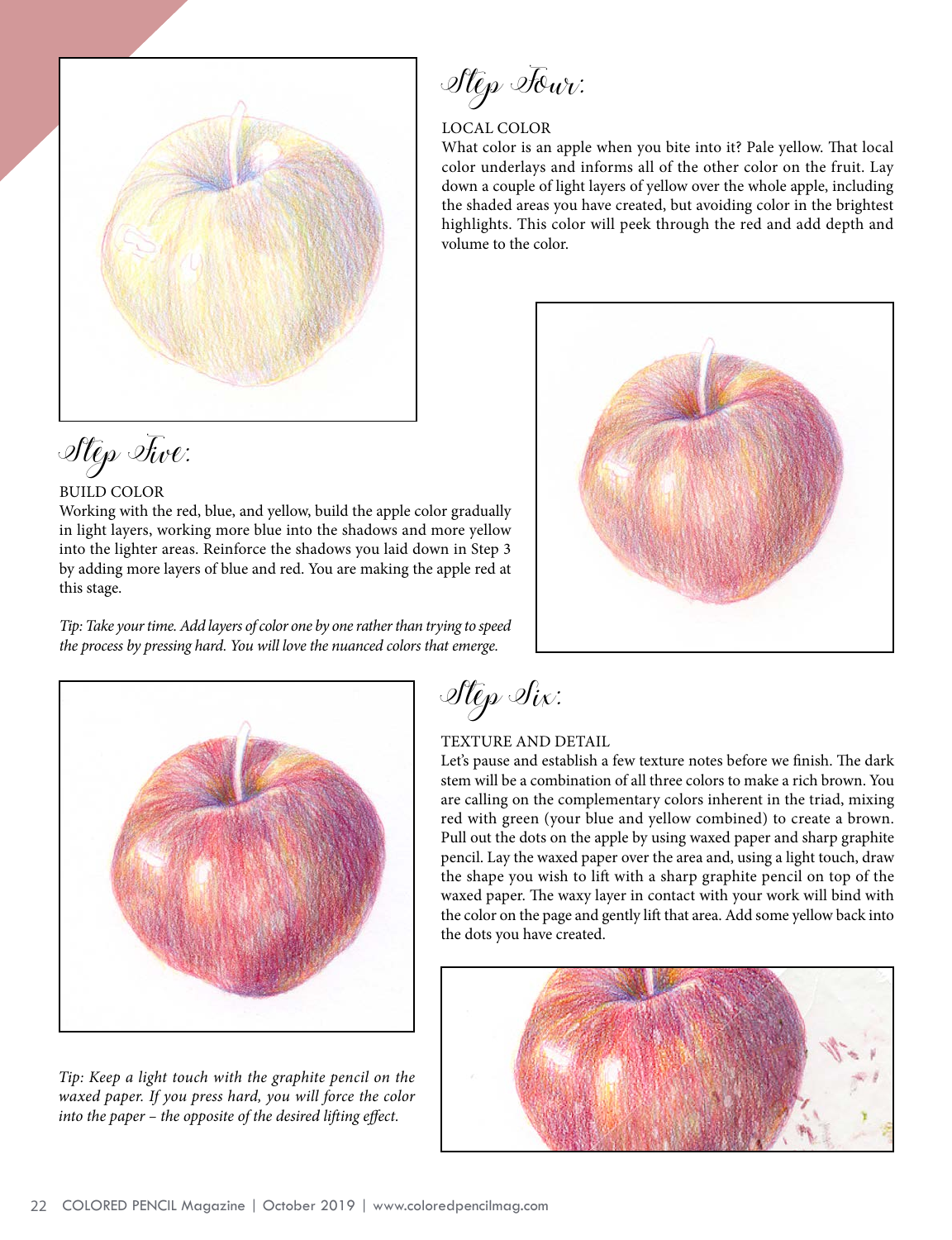

Step Five:

## BUILD COLOR

Working with the red, blue, and yellow, build the apple color gradually in light layers, working more blue into the shadows and more yellow into the lighter areas. Reinforce the shadows you laid down in Step 3 by adding more layers of blue and red. You are making the apple red at this stage.

*Tip: Take your time. Add layers of color one by one rather than trying to speed the process by pressing hard. You will love the nuanced colors that emerge.*

Step Four:

## LOCAL COLOR

What color is an apple when you bite into it? Pale yellow. That local color underlays and informs all of the other color on the fruit. Lay down a couple of light layers of yellow over the whole apple, including the shaded areas you have created, but avoiding color in the brightest highlights. This color will peek through the red and add depth and volume to the color.





*Tip: Keep a light touch with the graphite pencil on the waxed paper. If you press hard, you will force the color into the paper – the opposite of the desired lifting effect.*

Step Six:

## TEXTURE AND DETAIL

Let's pause and establish a few texture notes before we finish. The dark stem will be a combination of all three colors to make a rich brown. You are calling on the complementary colors inherent in the triad, mixing red with green (your blue and yellow combined) to create a brown. Pull out the dots on the apple by using waxed paper and sharp graphite pencil. Lay the waxed paper over the area and, using a light touch, draw the shape you wish to lift with a sharp graphite pencil on top of the waxed paper. The waxy layer in contact with your work will bind with the color on the page and gently lift that area. Add some yellow back into the dots you have created.